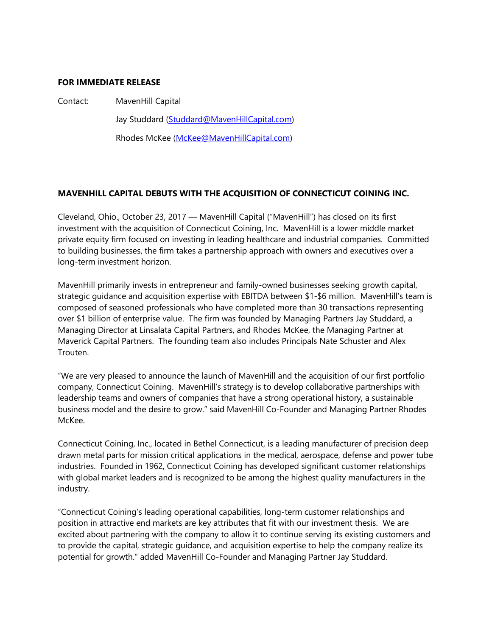## **FOR IMMEDIATE RELEASE**

Contact: MavenHill Capital

Jay Studdard [\(Studdard@MavenHillCapital.com\)](mailto:Studdard@MavenHillCapital.com)

Rhodes McKee [\(McKee@MavenHillCapital.com\)](mailto:McKee@MavenHillCapital.com)

## **MAVENHILL CAPITAL DEBUTS WITH THE ACQUISITION OF CONNECTICUT COINING INC.**

Cleveland, Ohio., October 23, 2017 — MavenHill Capital ("MavenHill") has closed on its first investment with the acquisition of Connecticut Coining, Inc. MavenHill is a lower middle market private equity firm focused on investing in leading healthcare and industrial companies. Committed to building businesses, the firm takes a partnership approach with owners and executives over a long-term investment horizon.

MavenHill primarily invests in entrepreneur and family-owned businesses seeking growth capital, strategic guidance and acquisition expertise with EBITDA between \$1-\$6 million. MavenHill's team is composed of seasoned professionals who have completed more than 30 transactions representing over \$1 billion of enterprise value. The firm was founded by Managing Partners Jay Studdard, a Managing Director at Linsalata Capital Partners, and Rhodes McKee, the Managing Partner at Maverick Capital Partners. The founding team also includes Principals Nate Schuster and Alex Trouten.

"We are very pleased to announce the launch of MavenHill and the acquisition of our first portfolio company, Connecticut Coining. MavenHill's strategy is to develop collaborative partnerships with leadership teams and owners of companies that have a strong operational history, a sustainable business model and the desire to grow." said MavenHill Co-Founder and Managing Partner Rhodes McKee.

Connecticut Coining, Inc., located in Bethel Connecticut, is a leading manufacturer of precision deep drawn metal parts for mission critical applications in the medical, aerospace, defense and power tube industries. Founded in 1962, Connecticut Coining has developed significant customer relationships with global market leaders and is recognized to be among the highest quality manufacturers in the industry.

"Connecticut Coining's leading operational capabilities, long-term customer relationships and position in attractive end markets are key attributes that fit with our investment thesis. We are excited about partnering with the company to allow it to continue serving its existing customers and to provide the capital, strategic guidance, and acquisition expertise to help the company realize its potential for growth." added MavenHill Co-Founder and Managing Partner Jay Studdard.